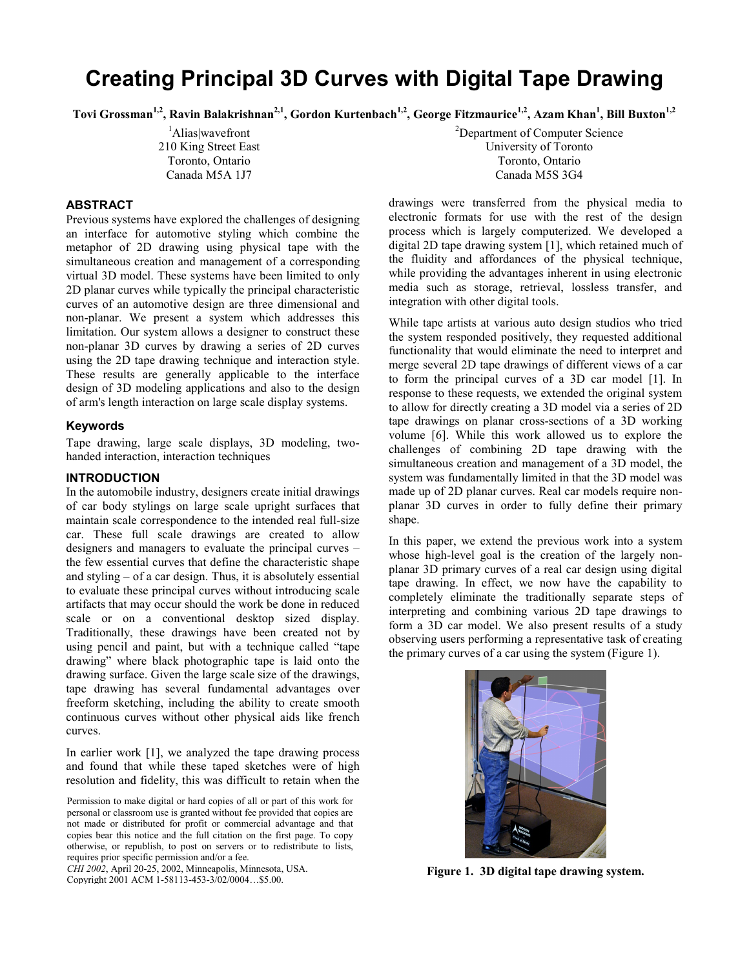# **Creating Principal 3D Curves with Digital Tape Drawing**

Tovi Grossman<sup>1,2</sup>, Ravin Balakrishnan<sup>2,1</sup>, Gordon Kurtenbach<sup>1,2</sup>, George Fitzmaurice<sup>1,2</sup>, Azam Khan<sup>1</sup>, Bill Buxton<sup>1,2</sup>

1 Alias|wavefront 210 King Street East Toronto, Ontario Canada M5A 1J7

## **ABSTRACT**

Previous systems have explored the challenges of designing an interface for automotive styling which combine the metaphor of 2D drawing using physical tape with the simultaneous creation and management of a corresponding virtual 3D model. These systems have been limited to only 2D planar curves while typically the principal characteristic curves of an automotive design are three dimensional and non-planar. We present a system which addresses this limitation. Our system allows a designer to construct these non-planar 3D curves by drawing a series of 2D curves using the 2D tape drawing technique and interaction style. These results are generally applicable to the interface design of 3D modeling applications and also to the design of arm's length interaction on large scale display systems.

#### **Keywords**

Tape drawing, large scale displays, 3D modeling, twohanded interaction, interaction techniques

## **INTRODUCTION**

In the automobile industry, designers create initial drawings of car body stylings on large scale upright surfaces that maintain scale correspondence to the intended real full-size car. These full scale drawings are created to allow designers and managers to evaluate the principal curves – the few essential curves that define the characteristic shape and styling – of a car design. Thus, it is absolutely essential to evaluate these principal curves without introducing scale artifacts that may occur should the work be done in reduced scale or on a conventional desktop sized display. Traditionally, these drawings have been created not by using pencil and paint, but with a technique called "tape drawing" where black photographic tape is laid onto the drawing surface. Given the large scale size of the drawings, tape drawing has several fundamental advantages over freeform sketching, including the ability to create smooth continuous curves without other physical aids like french curves.

In earlier work [1], we analyzed the tape drawing process and found that while these taped sketches were of high resolution and fidelity, this was difficult to retain when the

Permission to make digital or hard copies of all or part of this work for personal or classroom use is granted without fee provided that copies are not made or distributed for profit or commercial advantage and that copies bear this notice and the full citation on the first page. To copy otherwise, or republish, to post on servers or to redistribute to lists, requires prior specific permission and/or a fee.

*CHI 2002*, April 20-25, 2002, Minneapolis, Minnesota, USA. Copyright 2001 ACM 1-58113-453-3/02/0004…\$5.00.

<sup>2</sup>Department of Computer Science University of Toronto Toronto, Ontario Canada M5S 3G4

drawings were transferred from the physical media to electronic formats for use with the rest of the design process which is largely computerized. We developed a digital 2D tape drawing system [1], which retained much of the fluidity and affordances of the physical technique, while providing the advantages inherent in using electronic media such as storage, retrieval, lossless transfer, and integration with other digital tools.

While tape artists at various auto design studios who tried the system responded positively, they requested additional functionality that would eliminate the need to interpret and merge several 2D tape drawings of different views of a car to form the principal curves of a 3D car model [1]. In response to these requests, we extended the original system to allow for directly creating a 3D model via a series of 2D tape drawings on planar cross-sections of a 3D working volume [6]. While this work allowed us to explore the challenges of combining 2D tape drawing with the simultaneous creation and management of a 3D model, the system was fundamentally limited in that the 3D model was made up of 2D planar curves. Real car models require nonplanar 3D curves in order to fully define their primary shape.

In this paper, we extend the previous work into a system whose high-level goal is the creation of the largely nonplanar 3D primary curves of a real car design using digital tape drawing. In effect, we now have the capability to completely eliminate the traditionally separate steps of interpreting and combining various 2D tape drawings to form a 3D car model. We also present results of a study observing users performing a representative task of creating the primary curves of a car using the system (Figure 1).



**Figure 1. 3D digital tape drawing system.**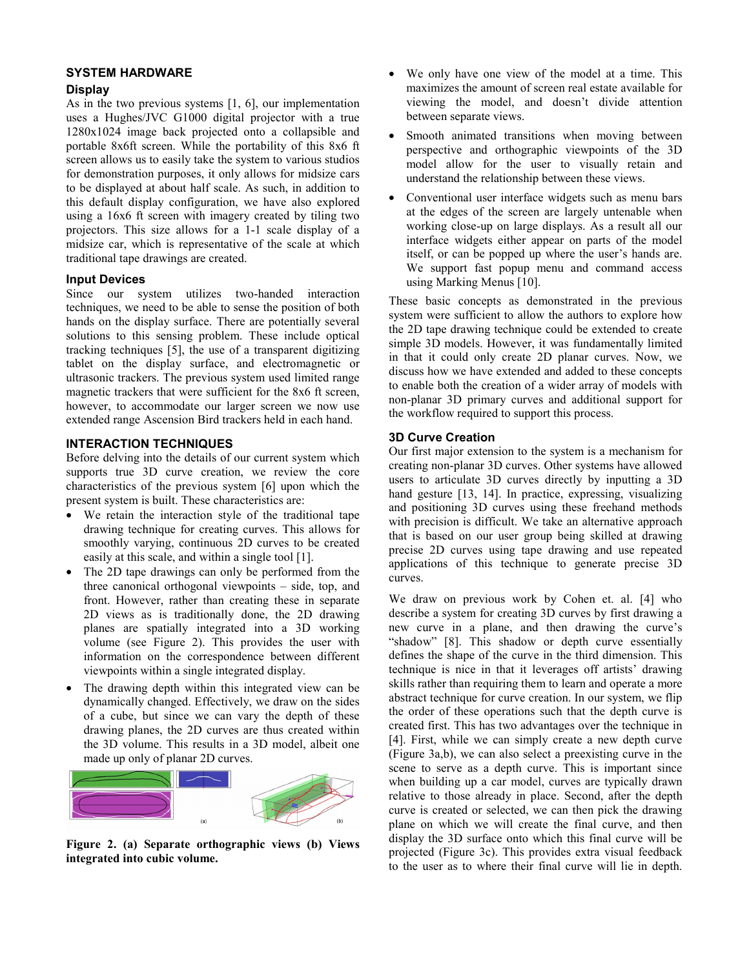## **SYSTEM HARDWARE**

## **Display**

As in the two previous systems [1, 6], our implementation uses a Hughes/JVC G1000 digital projector with a true 1280x1024 image back projected onto a collapsible and portable 8x6ft screen. While the portability of this 8x6 ft screen allows us to easily take the system to various studios for demonstration purposes, it only allows for midsize cars to be displayed at about half scale. As such, in addition to this default display configuration, we have also explored using a 16x6 ft screen with imagery created by tiling two projectors. This size allows for a 1-1 scale display of a midsize car, which is representative of the scale at which traditional tape drawings are created.

## **Input Devices**

Since our system utilizes two-handed interaction techniques, we need to be able to sense the position of both hands on the display surface. There are potentially several solutions to this sensing problem. These include optical tracking techniques [5], the use of a transparent digitizing tablet on the display surface, and electromagnetic or ultrasonic trackers. The previous system used limited range magnetic trackers that were sufficient for the 8x6 ft screen, however, to accommodate our larger screen we now use extended range Ascension Bird trackers held in each hand.

## **INTERACTION TECHNIQUES**

Before delving into the details of our current system which supports true 3D curve creation, we review the core characteristics of the previous system [6] upon which the present system is built. These characteristics are:

- We retain the interaction style of the traditional tape drawing technique for creating curves. This allows for smoothly varying, continuous 2D curves to be created easily at this scale, and within a single tool [1].
- The 2D tape drawings can only be performed from the three canonical orthogonal viewpoints – side, top, and front. However, rather than creating these in separate 2D views as is traditionally done, the 2D drawing planes are spatially integrated into a 3D working volume (see Figure 2). This provides the user with information on the correspondence between different viewpoints within a single integrated display.
- The drawing depth within this integrated view can be dynamically changed. Effectively, we draw on the sides of a cube, but since we can vary the depth of these drawing planes, the 2D curves are thus created within the 3D volume. This results in a 3D model, albeit one made up only of planar 2D curves.



**Figure 2. (a) Separate orthographic views (b) Views integrated into cubic volume.** 

- We only have one view of the model at a time. This maximizes the amount of screen real estate available for viewing the model, and doesn't divide attention between separate views.
- Smooth animated transitions when moving between perspective and orthographic viewpoints of the 3D model allow for the user to visually retain and understand the relationship between these views.
- Conventional user interface widgets such as menu bars at the edges of the screen are largely untenable when working close-up on large displays. As a result all our interface widgets either appear on parts of the model itself, or can be popped up where the user's hands are. We support fast popup menu and command access using Marking Menus [10].

These basic concepts as demonstrated in the previous system were sufficient to allow the authors to explore how the 2D tape drawing technique could be extended to create simple 3D models. However, it was fundamentally limited in that it could only create 2D planar curves. Now, we discuss how we have extended and added to these concepts to enable both the creation of a wider array of models with non-planar 3D primary curves and additional support for the workflow required to support this process.

## **3D Curve Creation**

Our first major extension to the system is a mechanism for creating non-planar 3D curves. Other systems have allowed users to articulate 3D curves directly by inputting a 3D hand gesture [13, 14]. In practice, expressing, visualizing and positioning 3D curves using these freehand methods with precision is difficult. We take an alternative approach that is based on our user group being skilled at drawing precise 2D curves using tape drawing and use repeated applications of this technique to generate precise 3D curves.

We draw on previous work by Cohen et. al. [4] who describe a system for creating 3D curves by first drawing a new curve in a plane, and then drawing the curve's "shadow" [8]. This shadow or depth curve essentially defines the shape of the curve in the third dimension. This technique is nice in that it leverages off artists' drawing skills rather than requiring them to learn and operate a more abstract technique for curve creation. In our system, we flip the order of these operations such that the depth curve is created first. This has two advantages over the technique in [4]. First, while we can simply create a new depth curve (Figure 3a,b), we can also select a preexisting curve in the scene to serve as a depth curve. This is important since when building up a car model, curves are typically drawn relative to those already in place. Second, after the depth curve is created or selected, we can then pick the drawing plane on which we will create the final curve, and then display the 3D surface onto which this final curve will be projected (Figure 3c). This provides extra visual feedback to the user as to where their final curve will lie in depth.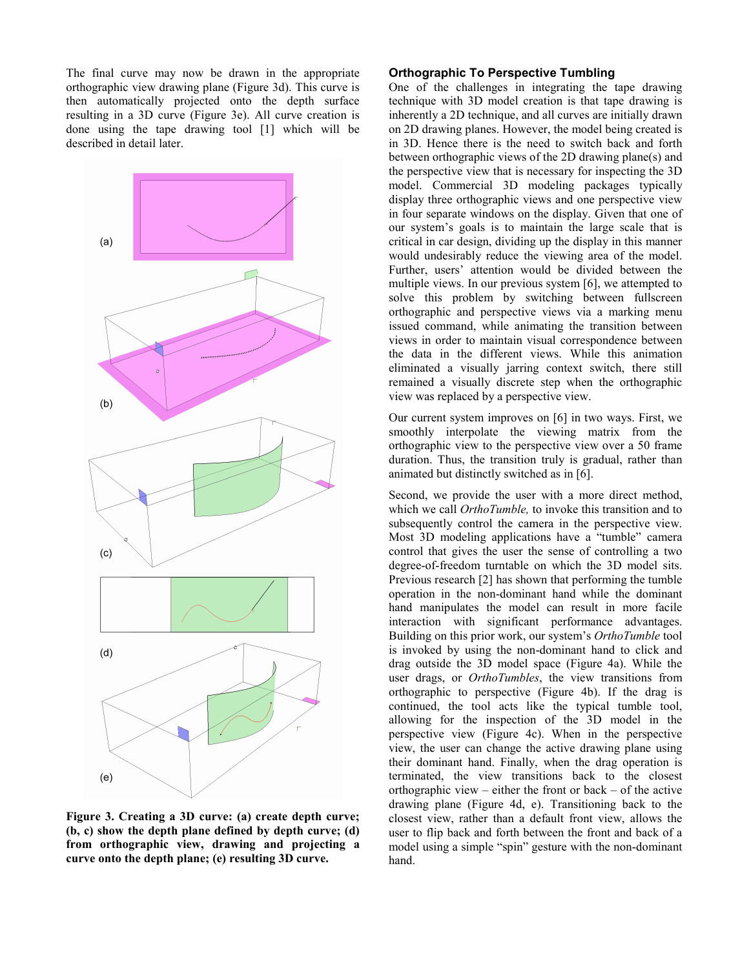The final curve may now be drawn in the appropriate orthographic view drawing plane (Figure 3d). This curve is then automatically projected onto the depth surface resulting in a 3D curve (Figure 3e). All curve creation is done using the tape drawing tool [1] which will be described in detail later.



**Figure 3. Creating a 3D curve: (a) create depth curve; (b, c) show the depth plane defined by depth curve; (d) from orthographic view, drawing and projecting a curve onto the depth plane; (e) resulting 3D curve.** 

#### **Orthographic To Perspective Tumbling**

One of the challenges in integrating the tape drawing technique with 3D model creation is that tape drawing is inherently a 2D technique, and all curves are initially drawn on 2D drawing planes. However, the model being created is in 3D. Hence there is the need to switch back and forth between orthographic views of the 2D drawing plane(s) and the perspective view that is necessary for inspecting the 3D model. Commercial 3D modeling packages typically display three orthographic views and one perspective view in four separate windows on the display. Given that one of our system's goals is to maintain the large scale that is critical in car design, dividing up the display in this manner would undesirably reduce the viewing area of the model. Further, users' attention would be divided between the multiple views. In our previous system [6], we attempted to solve this problem by switching between fullscreen orthographic and perspective views via a marking menu issued command, while animating the transition between views in order to maintain visual correspondence between the data in the different views. While this animation eliminated a visually jarring context switch, there still remained a visually discrete step when the orthographic view was replaced by a perspective view.

Our current system improves on [6] in two ways. First, we smoothly interpolate the viewing matrix from the orthographic view to the perspective view over a 50 frame duration. Thus, the transition truly is gradual, rather than animated but distinctly switched as in [6].

Second, we provide the user with a more direct method, which we call *OrthoTumble,* to invoke this transition and to subsequently control the camera in the perspective view. Most 3D modeling applications have a "tumble" camera control that gives the user the sense of controlling a two degree-of-freedom turntable on which the 3D model sits. Previous research [2] has shown that performing the tumble operation in the non-dominant hand while the dominant hand manipulates the model can result in more facile interaction with significant performance advantages. Building on this prior work, our system's *OrthoTumble* tool is invoked by using the non-dominant hand to click and drag outside the 3D model space (Figure 4a). While the user drags, or *OrthoTumbles*, the view transitions from orthographic to perspective (Figure 4b). If the drag is continued, the tool acts like the typical tumble tool, allowing for the inspection of the 3D model in the perspective view (Figure 4c). When in the perspective view, the user can change the active drawing plane using their dominant hand. Finally, when the drag operation is terminated, the view transitions back to the closest orthographic view – either the front or back – of the active drawing plane (Figure 4d, e). Transitioning back to the closest view, rather than a default front view, allows the user to flip back and forth between the front and back of a model using a simple "spin" gesture with the non-dominant hand.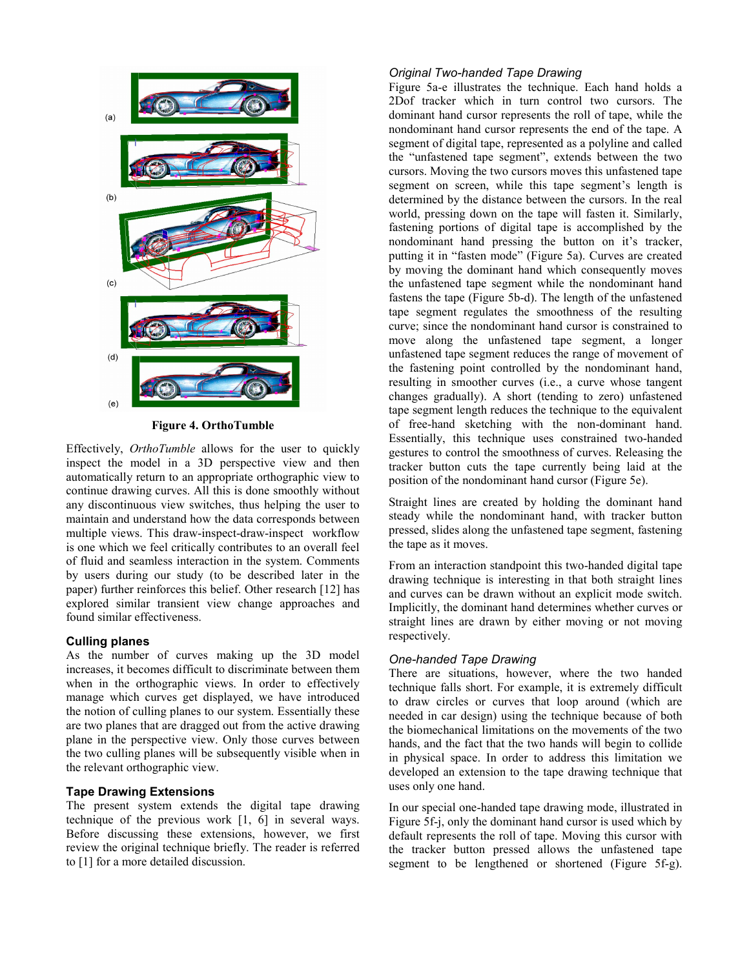

**Figure 4. OrthoTumble** 

Effectively, *OrthoTumble* allows for the user to quickly inspect the model in a 3D perspective view and then automatically return to an appropriate orthographic view to continue drawing curves. All this is done smoothly without any discontinuous view switches, thus helping the user to maintain and understand how the data corresponds between multiple views. This draw-inspect-draw-inspect workflow is one which we feel critically contributes to an overall feel of fluid and seamless interaction in the system. Comments by users during our study (to be described later in the paper) further reinforces this belief. Other research [12] has explored similar transient view change approaches and found similar effectiveness.

#### **Culling planes**

As the number of curves making up the 3D model increases, it becomes difficult to discriminate between them when in the orthographic views. In order to effectively manage which curves get displayed, we have introduced the notion of culling planes to our system. Essentially these are two planes that are dragged out from the active drawing plane in the perspective view. Only those curves between the two culling planes will be subsequently visible when in the relevant orthographic view.

#### **Tape Drawing Extensions**

The present system extends the digital tape drawing technique of the previous work [1, 6] in several ways. Before discussing these extensions, however, we first review the original technique briefly. The reader is referred to [1] for a more detailed discussion.

#### *Original Two-handed Tape Drawing*

Figure 5a-e illustrates the technique. Each hand holds a 2Dof tracker which in turn control two cursors. The dominant hand cursor represents the roll of tape, while the nondominant hand cursor represents the end of the tape. A segment of digital tape, represented as a polyline and called the "unfastened tape segment", extends between the two cursors. Moving the two cursors moves this unfastened tape segment on screen, while this tape segment's length is determined by the distance between the cursors. In the real world, pressing down on the tape will fasten it. Similarly, fastening portions of digital tape is accomplished by the nondominant hand pressing the button on it's tracker, putting it in "fasten mode" (Figure 5a). Curves are created by moving the dominant hand which consequently moves the unfastened tape segment while the nondominant hand fastens the tape (Figure 5b-d). The length of the unfastened tape segment regulates the smoothness of the resulting curve; since the nondominant hand cursor is constrained to move along the unfastened tape segment, a longer unfastened tape segment reduces the range of movement of the fastening point controlled by the nondominant hand, resulting in smoother curves (i.e., a curve whose tangent changes gradually). A short (tending to zero) unfastened tape segment length reduces the technique to the equivalent of free-hand sketching with the non-dominant hand. Essentially, this technique uses constrained two-handed gestures to control the smoothness of curves. Releasing the tracker button cuts the tape currently being laid at the position of the nondominant hand cursor (Figure 5e).

Straight lines are created by holding the dominant hand steady while the nondominant hand, with tracker button pressed, slides along the unfastened tape segment, fastening the tape as it moves.

From an interaction standpoint this two-handed digital tape drawing technique is interesting in that both straight lines and curves can be drawn without an explicit mode switch. Implicitly, the dominant hand determines whether curves or straight lines are drawn by either moving or not moving respectively.

#### *One-handed Tape Drawing*

There are situations, however, where the two handed technique falls short. For example, it is extremely difficult to draw circles or curves that loop around (which are needed in car design) using the technique because of both the biomechanical limitations on the movements of the two hands, and the fact that the two hands will begin to collide in physical space. In order to address this limitation we developed an extension to the tape drawing technique that uses only one hand.

In our special one-handed tape drawing mode, illustrated in Figure 5f-j, only the dominant hand cursor is used which by default represents the roll of tape. Moving this cursor with the tracker button pressed allows the unfastened tape segment to be lengthened or shortened (Figure 5f-g).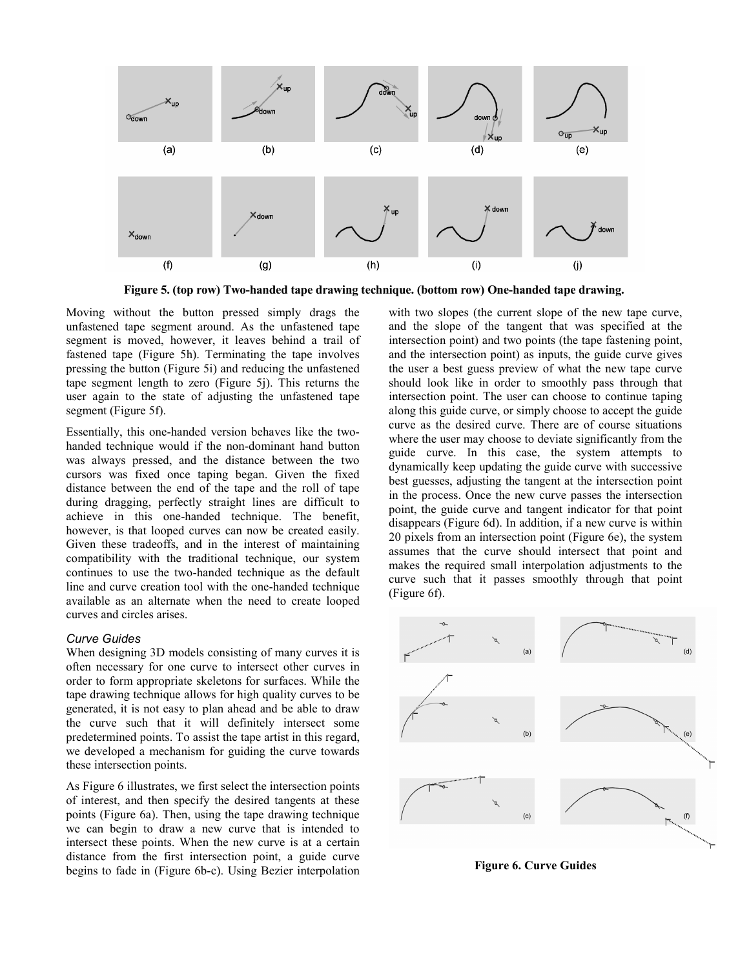

**Figure 5. (top row) Two-handed tape drawing technique. (bottom row) One-handed tape drawing.** 

Moving without the button pressed simply drags the unfastened tape segment around. As the unfastened tape segment is moved, however, it leaves behind a trail of fastened tape (Figure 5h). Terminating the tape involves pressing the button (Figure 5i) and reducing the unfastened tape segment length to zero (Figure 5j). This returns the user again to the state of adjusting the unfastened tape segment (Figure 5f).

Essentially, this one-handed version behaves like the twohanded technique would if the non-dominant hand button was always pressed, and the distance between the two cursors was fixed once taping began. Given the fixed distance between the end of the tape and the roll of tape during dragging, perfectly straight lines are difficult to achieve in this one-handed technique. The benefit, however, is that looped curves can now be created easily. Given these tradeoffs, and in the interest of maintaining compatibility with the traditional technique, our system continues to use the two-handed technique as the default line and curve creation tool with the one-handed technique available as an alternate when the need to create looped curves and circles arises.

#### *Curve Guides*

When designing 3D models consisting of many curves it is often necessary for one curve to intersect other curves in order to form appropriate skeletons for surfaces. While the tape drawing technique allows for high quality curves to be generated, it is not easy to plan ahead and be able to draw the curve such that it will definitely intersect some predetermined points. To assist the tape artist in this regard, we developed a mechanism for guiding the curve towards these intersection points.

As Figure 6 illustrates, we first select the intersection points of interest, and then specify the desired tangents at these points (Figure 6a). Then, using the tape drawing technique we can begin to draw a new curve that is intended to intersect these points. When the new curve is at a certain distance from the first intersection point, a guide curve begins to fade in (Figure 6b-c). Using Bezier interpolation with two slopes (the current slope of the new tape curve, and the slope of the tangent that was specified at the intersection point) and two points (the tape fastening point, and the intersection point) as inputs, the guide curve gives the user a best guess preview of what the new tape curve should look like in order to smoothly pass through that intersection point. The user can choose to continue taping along this guide curve, or simply choose to accept the guide curve as the desired curve. There are of course situations where the user may choose to deviate significantly from the guide curve. In this case, the system attempts to dynamically keep updating the guide curve with successive best guesses, adjusting the tangent at the intersection point in the process. Once the new curve passes the intersection point, the guide curve and tangent indicator for that point disappears (Figure 6d). In addition, if a new curve is within 20 pixels from an intersection point (Figure 6e), the system assumes that the curve should intersect that point and makes the required small interpolation adjustments to the curve such that it passes smoothly through that point (Figure 6f).



**Figure 6. Curve Guides**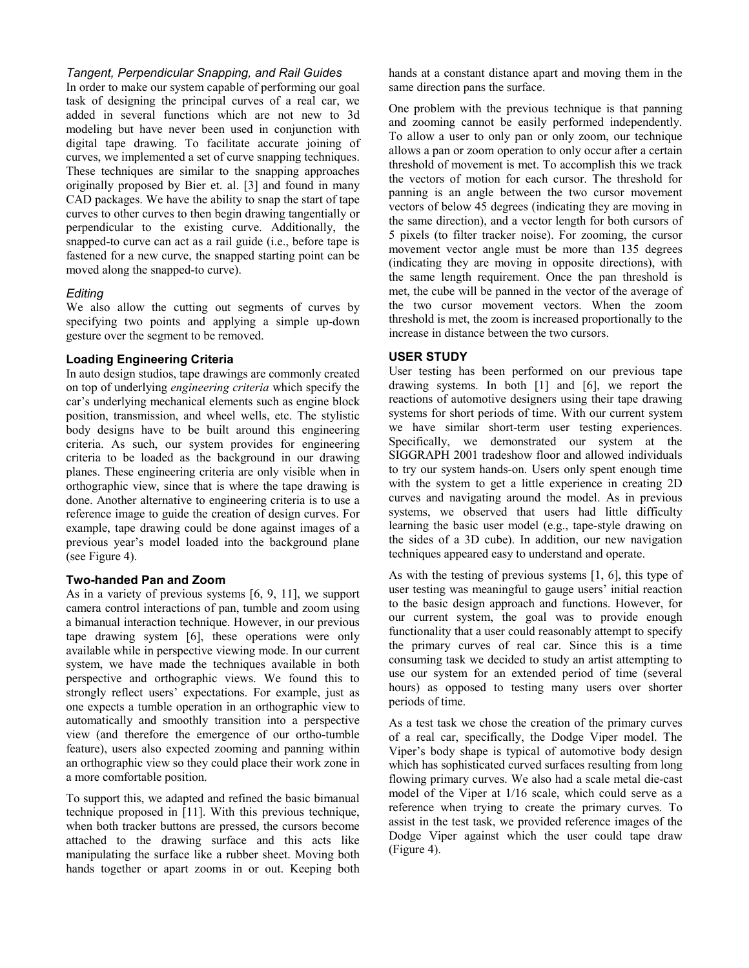#### *Tangent, Perpendicular Snapping, and Rail Guides*

In order to make our system capable of performing our goal task of designing the principal curves of a real car, we added in several functions which are not new to 3d modeling but have never been used in conjunction with digital tape drawing. To facilitate accurate joining of curves, we implemented a set of curve snapping techniques. These techniques are similar to the snapping approaches originally proposed by Bier et. al. [3] and found in many CAD packages. We have the ability to snap the start of tape curves to other curves to then begin drawing tangentially or perpendicular to the existing curve. Additionally, the snapped-to curve can act as a rail guide (i.e., before tape is fastened for a new curve, the snapped starting point can be moved along the snapped-to curve).

## *Editing*

We also allow the cutting out segments of curves by specifying two points and applying a simple up-down gesture over the segment to be removed.

## **Loading Engineering Criteria**

In auto design studios, tape drawings are commonly created on top of underlying *engineering criteria* which specify the car's underlying mechanical elements such as engine block position, transmission, and wheel wells, etc. The stylistic body designs have to be built around this engineering criteria. As such, our system provides for engineering criteria to be loaded as the background in our drawing planes. These engineering criteria are only visible when in orthographic view, since that is where the tape drawing is done. Another alternative to engineering criteria is to use a reference image to guide the creation of design curves. For example, tape drawing could be done against images of a previous year's model loaded into the background plane (see Figure 4).

## **Two-handed Pan and Zoom**

As in a variety of previous systems [6, 9, 11], we support camera control interactions of pan, tumble and zoom using a bimanual interaction technique. However, in our previous tape drawing system [6], these operations were only available while in perspective viewing mode. In our current system, we have made the techniques available in both perspective and orthographic views. We found this to strongly reflect users' expectations. For example, just as one expects a tumble operation in an orthographic view to automatically and smoothly transition into a perspective view (and therefore the emergence of our ortho-tumble feature), users also expected zooming and panning within an orthographic view so they could place their work zone in a more comfortable position.

To support this, we adapted and refined the basic bimanual technique proposed in [11]. With this previous technique, when both tracker buttons are pressed, the cursors become attached to the drawing surface and this acts like manipulating the surface like a rubber sheet. Moving both hands together or apart zooms in or out. Keeping both hands at a constant distance apart and moving them in the same direction pans the surface.

One problem with the previous technique is that panning and zooming cannot be easily performed independently. To allow a user to only pan or only zoom, our technique allows a pan or zoom operation to only occur after a certain threshold of movement is met. To accomplish this we track the vectors of motion for each cursor. The threshold for panning is an angle between the two cursor movement vectors of below 45 degrees (indicating they are moving in the same direction), and a vector length for both cursors of 5 pixels (to filter tracker noise). For zooming, the cursor movement vector angle must be more than 135 degrees (indicating they are moving in opposite directions), with the same length requirement. Once the pan threshold is met, the cube will be panned in the vector of the average of the two cursor movement vectors. When the zoom threshold is met, the zoom is increased proportionally to the increase in distance between the two cursors.

## **USER STUDY**

User testing has been performed on our previous tape drawing systems. In both [1] and [6], we report the reactions of automotive designers using their tape drawing systems for short periods of time. With our current system we have similar short-term user testing experiences. Specifically, we demonstrated our system at the SIGGRAPH 2001 tradeshow floor and allowed individuals to try our system hands-on. Users only spent enough time with the system to get a little experience in creating 2D curves and navigating around the model. As in previous systems, we observed that users had little difficulty learning the basic user model (e.g., tape-style drawing on the sides of a 3D cube). In addition, our new navigation techniques appeared easy to understand and operate.

As with the testing of previous systems [1, 6], this type of user testing was meaningful to gauge users' initial reaction to the basic design approach and functions. However, for our current system, the goal was to provide enough functionality that a user could reasonably attempt to specify the primary curves of real car. Since this is a time consuming task we decided to study an artist attempting to use our system for an extended period of time (several hours) as opposed to testing many users over shorter periods of time.

As a test task we chose the creation of the primary curves of a real car, specifically, the Dodge Viper model. The Viper's body shape is typical of automotive body design which has sophisticated curved surfaces resulting from long flowing primary curves. We also had a scale metal die-cast model of the Viper at 1/16 scale, which could serve as a reference when trying to create the primary curves. To assist in the test task, we provided reference images of the Dodge Viper against which the user could tape draw (Figure 4).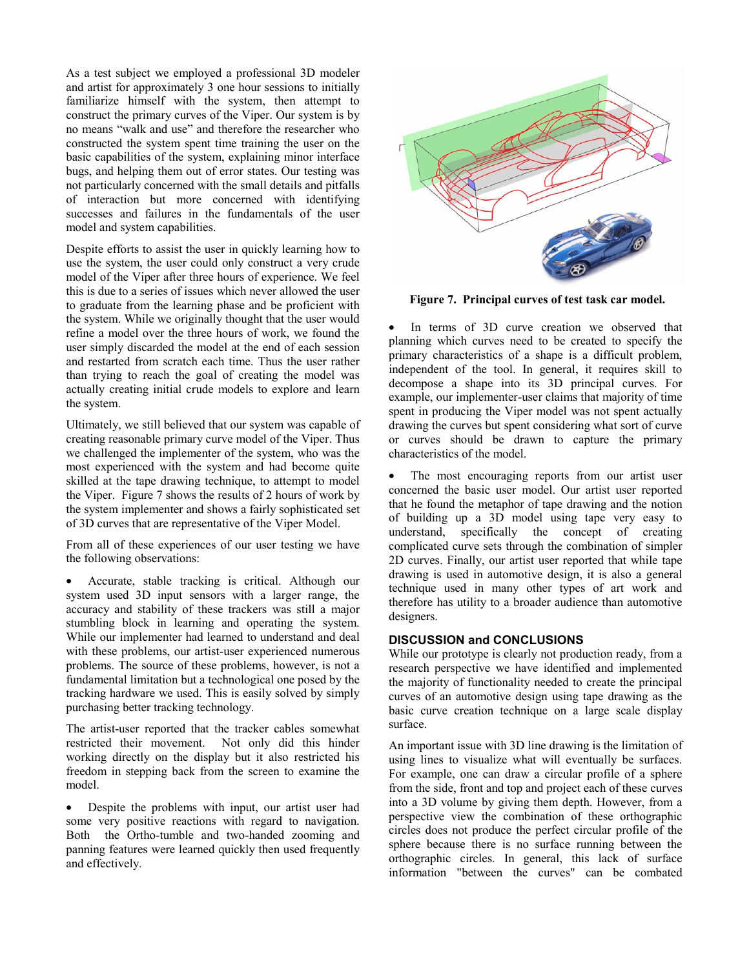As a test subject we employed a professional 3D modeler and artist for approximately 3 one hour sessions to initially familiarize himself with the system, then attempt to construct the primary curves of the Viper. Our system is by no means "walk and use" and therefore the researcher who constructed the system spent time training the user on the basic capabilities of the system, explaining minor interface bugs, and helping them out of error states. Our testing was not particularly concerned with the small details and pitfalls of interaction but more concerned with identifying successes and failures in the fundamentals of the user model and system capabilities.

Despite efforts to assist the user in quickly learning how to use the system, the user could only construct a very crude model of the Viper after three hours of experience. We feel this is due to a series of issues which never allowed the user to graduate from the learning phase and be proficient with the system. While we originally thought that the user would refine a model over the three hours of work, we found the user simply discarded the model at the end of each session and restarted from scratch each time. Thus the user rather than trying to reach the goal of creating the model was actually creating initial crude models to explore and learn the system.

Ultimately, we still believed that our system was capable of creating reasonable primary curve model of the Viper. Thus we challenged the implementer of the system, who was the most experienced with the system and had become quite skilled at the tape drawing technique, to attempt to model the Viper. Figure 7 shows the results of 2 hours of work by the system implementer and shows a fairly sophisticated set of 3D curves that are representative of the Viper Model.

From all of these experiences of our user testing we have the following observations:

• Accurate, stable tracking is critical. Although our system used 3D input sensors with a larger range, the accuracy and stability of these trackers was still a major stumbling block in learning and operating the system. While our implementer had learned to understand and deal with these problems, our artist-user experienced numerous problems. The source of these problems, however, is not a fundamental limitation but a technological one posed by the tracking hardware we used. This is easily solved by simply purchasing better tracking technology.

The artist-user reported that the tracker cables somewhat restricted their movement. Not only did this hinder working directly on the display but it also restricted his freedom in stepping back from the screen to examine the model.

• Despite the problems with input, our artist user had some very positive reactions with regard to navigation. Both the Ortho-tumble and two-handed zooming and panning features were learned quickly then used frequently and effectively.



**Figure 7. Principal curves of test task car model.** 

In terms of 3D curve creation we observed that planning which curves need to be created to specify the primary characteristics of a shape is a difficult problem, independent of the tool. In general, it requires skill to decompose a shape into its 3D principal curves. For example, our implementer-user claims that majority of time spent in producing the Viper model was not spent actually drawing the curves but spent considering what sort of curve or curves should be drawn to capture the primary characteristics of the model.

• The most encouraging reports from our artist user concerned the basic user model. Our artist user reported that he found the metaphor of tape drawing and the notion of building up a 3D model using tape very easy to understand, specifically the concept of creating complicated curve sets through the combination of simpler 2D curves. Finally, our artist user reported that while tape drawing is used in automotive design, it is also a general technique used in many other types of art work and therefore has utility to a broader audience than automotive designers.

# **DISCUSSION and CONCLUSIONS**

While our prototype is clearly not production ready, from a research perspective we have identified and implemented the majority of functionality needed to create the principal curves of an automotive design using tape drawing as the basic curve creation technique on a large scale display surface.

An important issue with 3D line drawing is the limitation of using lines to visualize what will eventually be surfaces. For example, one can draw a circular profile of a sphere from the side, front and top and project each of these curves into a 3D volume by giving them depth. However, from a perspective view the combination of these orthographic circles does not produce the perfect circular profile of the sphere because there is no surface running between the orthographic circles. In general, this lack of surface information "between the curves" can be combated